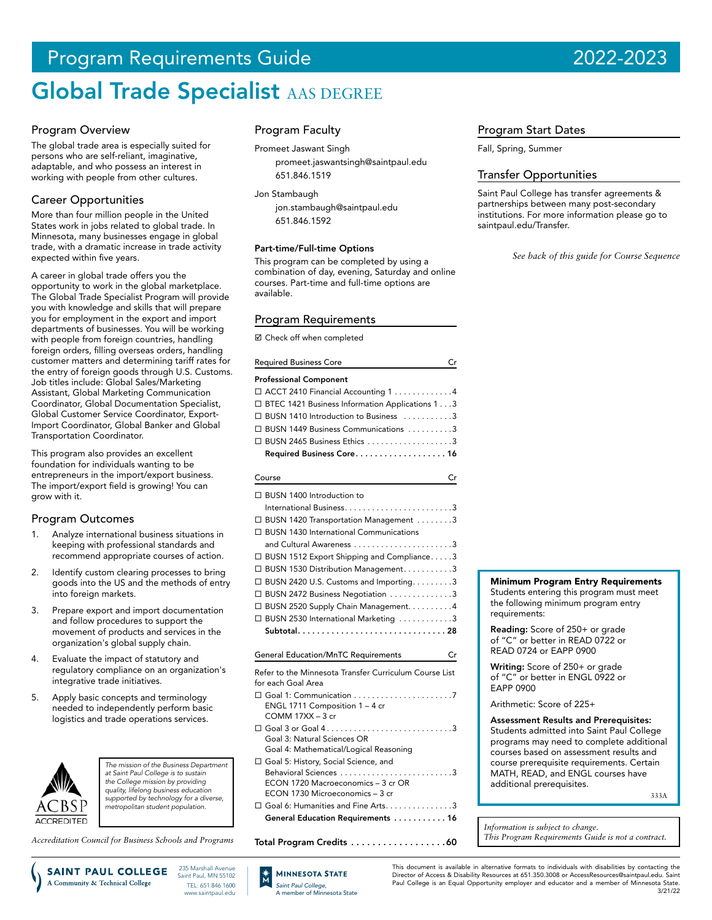# Program Requirements Guide 2022-2023

# Global Trade Specialist AAS DEGREE

## Program Overview

The global trade area is especially suited for persons who are self-reliant, imaginative, adaptable, and who possess an interest in working with people from other cultures.

# Career Opportunities

More than four million people in the United States work in jobs related to global trade. In Minnesota, many businesses engage in global trade, with a dramatic increase in trade activity expected within five years.

A career in global trade offers you the opportunity to work in the global marketplace. The Global Trade Specialist Program will provide you with knowledge and skills that will prepare you for employment in the export and import departments of businesses. You will be working with people from foreign countries, handling foreign orders, filling overseas orders, handling customer matters and determining tariff rates for the entry of foreign goods through U.S. Customs. Job titles include: Global Sales/Marketing Assistant, Global Marketing Communication Coordinator, Global Documentation Specialist, Global Customer Service Coordinator, Export-Import Coordinator, Global Banker and Global Transportation Coordinator.

This program also provides an excellent foundation for individuals wanting to be entrepreneurs in the import/export business. The import/export field is growing! You can grow with it.

### Program Outcomes

- 1. Analyze international business situations in keeping with professional standards and recommend appropriate courses of action.
- 2. Identify custom clearing processes to bring goods into the US and the methods of entry into foreign markets.
- 3. Prepare export and import documentation and follow procedures to support the movement of products and services in the organization's global supply chain.
- Evaluate the impact of statutory and regulatory compliance on an organization's integrative trade initiatives.
- 5. Apply basic concepts and terminology needed to independently perform basic logistics and trade operations services.



*The mission of the Business Department at Saint Paul College is to sustain the College mission by providing quality, lifelong business education supported by technology for a diverse, metropolitan student population.*

> 235 Marshall Avenue Saint Paul, MN 55102 TEL: 651.846.1600 www.saintpaul.edu

*Accreditation Council for Business Schools and Programs*

SAINT PAUL COLLEGE

A Community & Technical College

Program Faculty

Promeet Jaswant Singh promeet.jaswantsingh@saintpaul.edu 651.846.1519

Jon Stambaugh

jon.stambaugh@saintpaul.edu 651.846.1592

#### Part-time/Full-time Options

This program can be completed by using a combination of day, evening, Saturday and online courses. Part-time and full-time options are available.

# Program Requirements

■ Check off when completed

| <b>Required Business Core</b>                     |
|---------------------------------------------------|
| <b>Professional Component</b>                     |
| $\Box$ ACCT 2410 Financial Accounting 1 4         |
| □ BTEC 1421 Business Information Applications 1 3 |
| □ BUSN 1410 Introduction to Business 3            |
| □ BUSN 1449 Business Communications 3             |
| $\Box$ BUSN 2465 Business Ethics 3                |
| Required Business Core 16                         |
| Course                                            |

## □ BUSN 1400 Introduction to International Business. . 3 □ BUSN 1420 Transportation Management . . . . . . . . 3 □ BUSN 1430 International Communications and Cultural Awareness. . 3  $\square$  BUSN 1512 Export Shipping and Compliance.....3  $\square$  BUSN 1530 Distribution Management. . . . . . . . . . 3  $\Box$  BUSN 2420 U.S. Customs and Importing. . . . . . . . . 3  $\square$  BUSN 2472 Business Negotiation  $\dots\dots\dots\dots3$ □ BUSN 2520 Supply Chain Management. . . . . . . . . . 4  $\square$  BUSN 2530 International Marketing  $\dots \dots \dots 3$ Subtotal . . . . . . . . . . . . . . . . . . . . . . . . . . . . . . . 28 General Education/MnTC Requirements Cr Refer to the Minnesota Transfer Curriculum Course List for each Goal Area Goal 1: Communication. . 7 ENGL 1711 Composition 1 – 4 cr COMM 17XX – 3 cr Goal 3 or Goal 4. . 3 Goal 3: Natural Sciences OR Goal 4: Mathematical/Logical Reasoning

- Goal 5: History, Social Science, and Behavioral Sciences. . 3 ECON 1720 Macroeconomics – 3 cr OR ECON 1730 Microeconomics – 3 cr
- $\square$  Goal 6: Humanities and Fine Arts. . . . . . . . . . . . . . 3 General Education Requirements . . . . . . . . . . . 16

Total Program Credits . . . . . . . . . . . . . . . . . 60

# Program Start Dates

Fall, Spring, Summer

## Transfer Opportunities

Saint Paul College has transfer agreements & partnerships between many post-secondary institutions. For more information please go to saintpaul.edu/Transfer.

*See back of this guide for Course Sequence*

#### Minimum Program Entry Requirements

Students entering this program must meet the following minimum program entry requirements:

Reading: Score of 250+ or grade of "C" or better in READ 0722 or READ 0724 or EAPP 0900

Writing: Score of 250+ or grade of "C" or better in ENGL 0922 or EAPP 0900

Arithmetic: Score of 225+

Assessment Results and Prerequisites: Students admitted into Saint Paul College programs may need to complete additional courses based on assessment results and course prerequisite requirements. Certain MATH, READ, and ENGL courses have additional prerequisites.

333A

*Information is subject to change. This Program Requirements Guide is not a contract.*